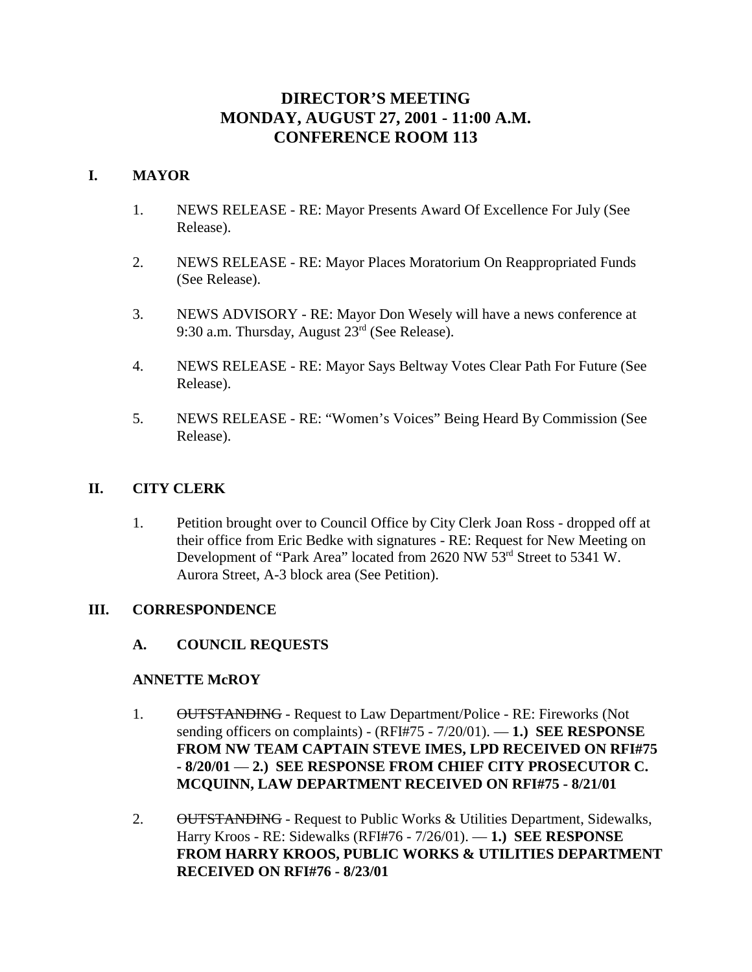# **DIRECTOR'S MEETING MONDAY, AUGUST 27, 2001 - 11:00 A.M. CONFERENCE ROOM 113**

# **I. MAYOR**

- 1. NEWS RELEASE RE: Mayor Presents Award Of Excellence For July (See Release).
- 2. NEWS RELEASE RE: Mayor Places Moratorium On Reappropriated Funds (See Release).
- 3. NEWS ADVISORY RE: Mayor Don Wesely will have a news conference at 9:30 a.m. Thursday, August 23rd (See Release).
- 4. NEWS RELEASE RE: Mayor Says Beltway Votes Clear Path For Future (See Release).
- 5. NEWS RELEASE RE: "Women's Voices" Being Heard By Commission (See Release).

# **II. CITY CLERK**

1. Petition brought over to Council Office by City Clerk Joan Ross - dropped off at their office from Eric Bedke with signatures - RE: Request for New Meeting on Development of "Park Area" located from 2620 NW 53<sup>rd</sup> Street to 5341 W. Aurora Street, A-3 block area (See Petition).

## **III. CORRESPONDENCE**

**A. COUNCIL REQUESTS**

## **ANNETTE McROY**

- 1. OUTSTANDING Request to Law Department/Police RE: Fireworks (Not sending officers on complaints) - (RFI#75 - 7/20/01). — **1.) SEE RESPONSE FROM NW TEAM CAPTAIN STEVE IMES, LPD RECEIVED ON RFI#75 - 8/20/01** — **2.) SEE RESPONSE FROM CHIEF CITY PROSECUTOR C. MCQUINN, LAW DEPARTMENT RECEIVED ON RFI#75 - 8/21/01**
- 2. OUTSTANDING Request to Public Works & Utilities Department, Sidewalks, Harry Kroos - RE: Sidewalks (RFI#76 - 7/26/01). — **1.) SEE RESPONSE FROM HARRY KROOS, PUBLIC WORKS & UTILITIES DEPARTMENT RECEIVED ON RFI#76 - 8/23/01**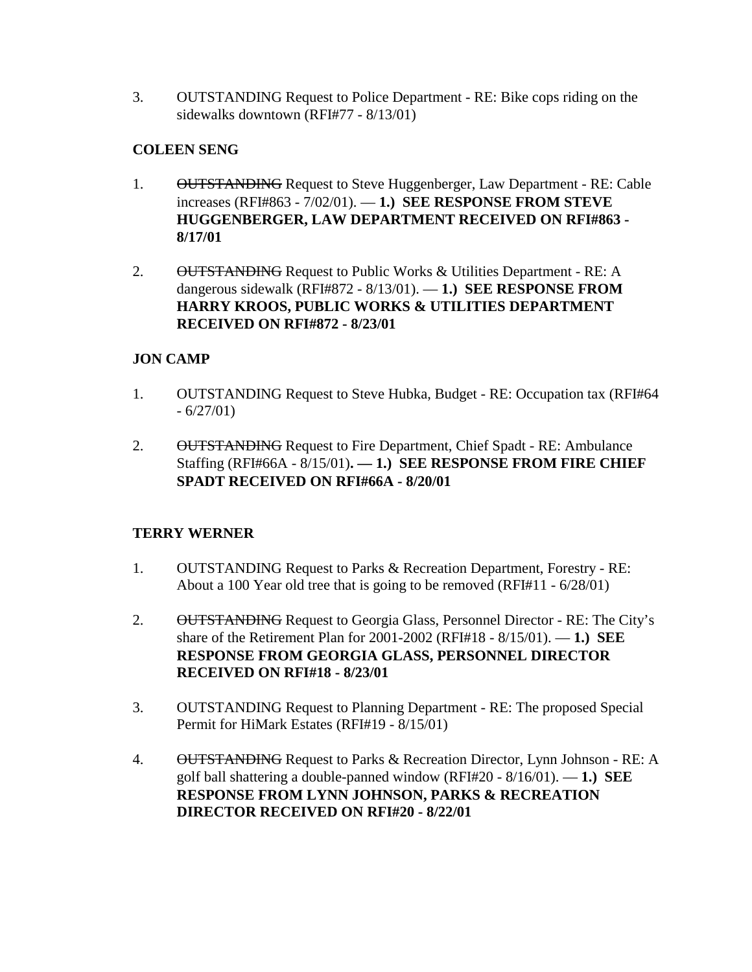3. OUTSTANDING Request to Police Department - RE: Bike cops riding on the sidewalks downtown (RFI#77 - 8/13/01)

# **COLEEN SENG**

- 1. OUTSTANDING Request to Steve Huggenberger, Law Department RE: Cable increases (RFI#863 - 7/02/01). — **1.) SEE RESPONSE FROM STEVE HUGGENBERGER, LAW DEPARTMENT RECEIVED ON RFI#863 - 8/17/01**
- 2. OUTSTANDING Request to Public Works & Utilities Department RE: A dangerous sidewalk (RFI#872 - 8/13/01). — **1.) SEE RESPONSE FROM HARRY KROOS, PUBLIC WORKS & UTILITIES DEPARTMENT RECEIVED ON RFI#872 - 8/23/01**

# **JON CAMP**

- 1. OUTSTANDING Request to Steve Hubka, Budget RE: Occupation tax (RFI#64  $-6/27/01$
- 2. OUTSTANDING Request to Fire Department, Chief Spadt RE: Ambulance Staffing (RFI#66A - 8/15/01)**. — 1.) SEE RESPONSE FROM FIRE CHIEF SPADT RECEIVED ON RFI#66A - 8/20/01**

# **TERRY WERNER**

- 1. OUTSTANDING Request to Parks & Recreation Department, Forestry RE: About a 100 Year old tree that is going to be removed (RFI#11 - 6/28/01)
- 2. OUTSTANDING Request to Georgia Glass, Personnel Director RE: The City's share of the Retirement Plan for 2001-2002 (RFI#18 - 8/15/01). — **1.) SEE RESPONSE FROM GEORGIA GLASS, PERSONNEL DIRECTOR RECEIVED ON RFI#18 - 8/23/01**
- 3. OUTSTANDING Request to Planning Department RE: The proposed Special Permit for HiMark Estates (RFI#19 - 8/15/01)
- 4. OUTSTANDING Request to Parks & Recreation Director, Lynn Johnson RE: A golf ball shattering a double-panned window (RFI#20 - 8/16/01). — **1.) SEE RESPONSE FROM LYNN JOHNSON, PARKS & RECREATION DIRECTOR RECEIVED ON RFI#20 - 8/22/01**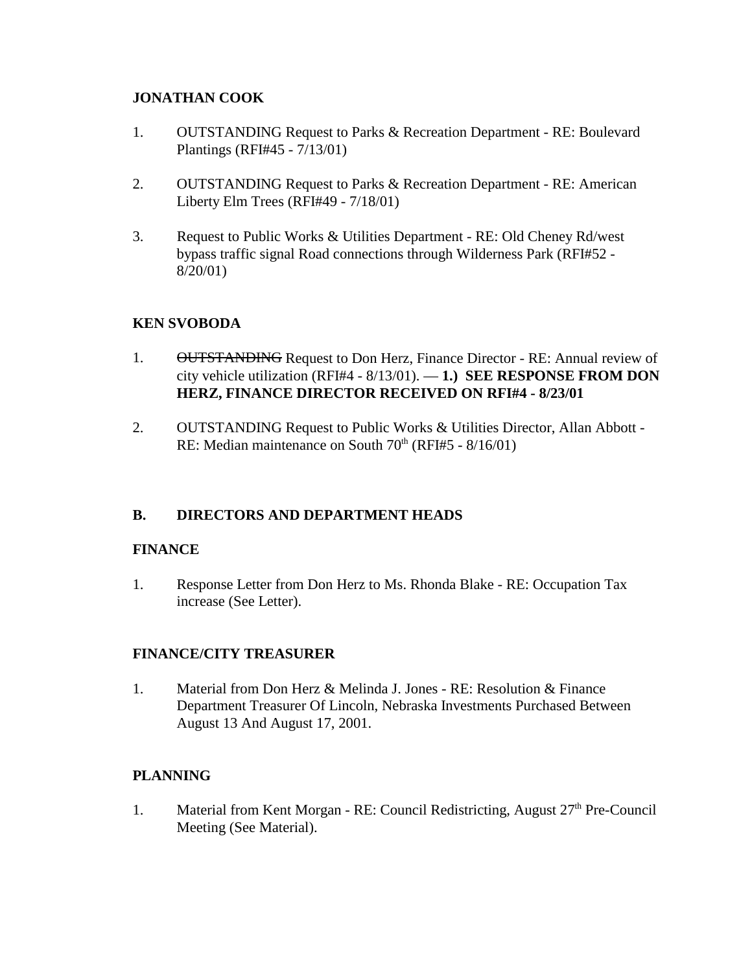# **JONATHAN COOK**

- 1. OUTSTANDING Request to Parks & Recreation Department RE: Boulevard Plantings (RFI#45 - 7/13/01)
- 2. OUTSTANDING Request to Parks & Recreation Department RE: American Liberty Elm Trees (RFI#49 - 7/18/01)
- 3. Request to Public Works & Utilities Department RE: Old Cheney Rd/west bypass traffic signal Road connections through Wilderness Park (RFI#52 - 8/20/01)

# **KEN SVOBODA**

- 1. OUTSTANDING Request to Don Herz, Finance Director RE: Annual review of city vehicle utilization (RFI#4 - 8/13/01). — **1.) SEE RESPONSE FROM DON HERZ, FINANCE DIRECTOR RECEIVED ON RFI#4 - 8/23/01**
- 2. OUTSTANDING Request to Public Works & Utilities Director, Allan Abbott RE: Median maintenance on South  $70<sup>th</sup>$  (RFI#5 - 8/16/01)

# **B. DIRECTORS AND DEPARTMENT HEADS**

# **FINANCE**

1. Response Letter from Don Herz to Ms. Rhonda Blake - RE: Occupation Tax increase (See Letter).

# **FINANCE/CITY TREASURER**

1. Material from Don Herz & Melinda J. Jones - RE: Resolution & Finance Department Treasurer Of Lincoln, Nebraska Investments Purchased Between August 13 And August 17, 2001.

# **PLANNING**

1. Material from Kent Morgan - RE: Council Redistricting, August  $27<sup>th</sup>$  Pre-Council Meeting (See Material).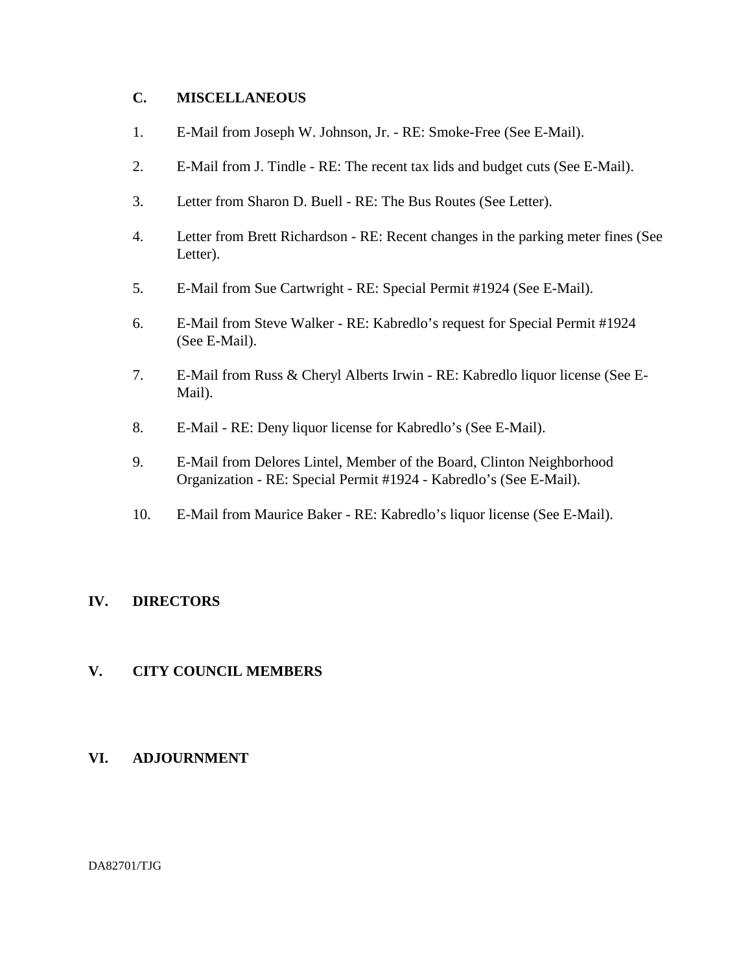# **C. MISCELLANEOUS**

- 1. E-Mail from Joseph W. Johnson, Jr. RE: Smoke-Free (See E-Mail).
- 2. E-Mail from J. Tindle RE: The recent tax lids and budget cuts (See E-Mail).
- 3. Letter from Sharon D. Buell RE: The Bus Routes (See Letter).
- 4. Letter from Brett Richardson RE: Recent changes in the parking meter fines (See Letter).
- 5. E-Mail from Sue Cartwright RE: Special Permit #1924 (See E-Mail).
- 6. E-Mail from Steve Walker RE: Kabredlo's request for Special Permit #1924 (See E-Mail).
- 7. E-Mail from Russ & Cheryl Alberts Irwin RE: Kabredlo liquor license (See E-Mail).
- 8. E-Mail RE: Deny liquor license for Kabredlo's (See E-Mail).
- 9. E-Mail from Delores Lintel, Member of the Board, Clinton Neighborhood Organization - RE: Special Permit #1924 - Kabredlo's (See E-Mail).
- 10. E-Mail from Maurice Baker RE: Kabredlo's liquor license (See E-Mail).

# **IV. DIRECTORS**

## **V. CITY COUNCIL MEMBERS**

## **VI. ADJOURNMENT**

DA82701/TJG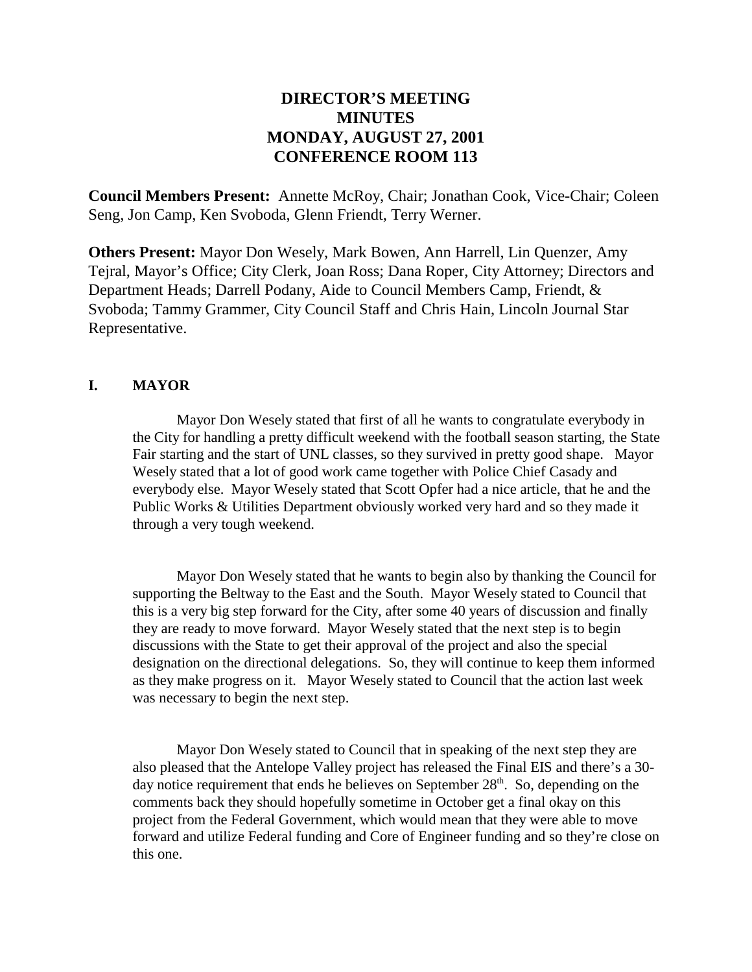# **DIRECTOR'S MEETING MINUTES MONDAY, AUGUST 27, 2001 CONFERENCE ROOM 113**

**Council Members Present:** Annette McRoy, Chair; Jonathan Cook, Vice-Chair; Coleen Seng, Jon Camp, Ken Svoboda, Glenn Friendt, Terry Werner.

**Others Present:** Mayor Don Wesely, Mark Bowen, Ann Harrell, Lin Quenzer, Amy Tejral, Mayor's Office; City Clerk, Joan Ross; Dana Roper, City Attorney; Directors and Department Heads; Darrell Podany, Aide to Council Members Camp, Friendt, & Svoboda; Tammy Grammer, City Council Staff and Chris Hain, Lincoln Journal Star Representative.

## **I. MAYOR**

Mayor Don Wesely stated that first of all he wants to congratulate everybody in the City for handling a pretty difficult weekend with the football season starting, the State Fair starting and the start of UNL classes, so they survived in pretty good shape. Mayor Wesely stated that a lot of good work came together with Police Chief Casady and everybody else. Mayor Wesely stated that Scott Opfer had a nice article, that he and the Public Works & Utilities Department obviously worked very hard and so they made it through a very tough weekend.

Mayor Don Wesely stated that he wants to begin also by thanking the Council for supporting the Beltway to the East and the South. Mayor Wesely stated to Council that this is a very big step forward for the City, after some 40 years of discussion and finally they are ready to move forward. Mayor Wesely stated that the next step is to begin discussions with the State to get their approval of the project and also the special designation on the directional delegations. So, they will continue to keep them informed as they make progress on it. Mayor Wesely stated to Council that the action last week was necessary to begin the next step.

Mayor Don Wesely stated to Council that in speaking of the next step they are also pleased that the Antelope Valley project has released the Final EIS and there's a 30 day notice requirement that ends he believes on September  $28<sup>th</sup>$ . So, depending on the comments back they should hopefully sometime in October get a final okay on this project from the Federal Government, which would mean that they were able to move forward and utilize Federal funding and Core of Engineer funding and so they're close on this one.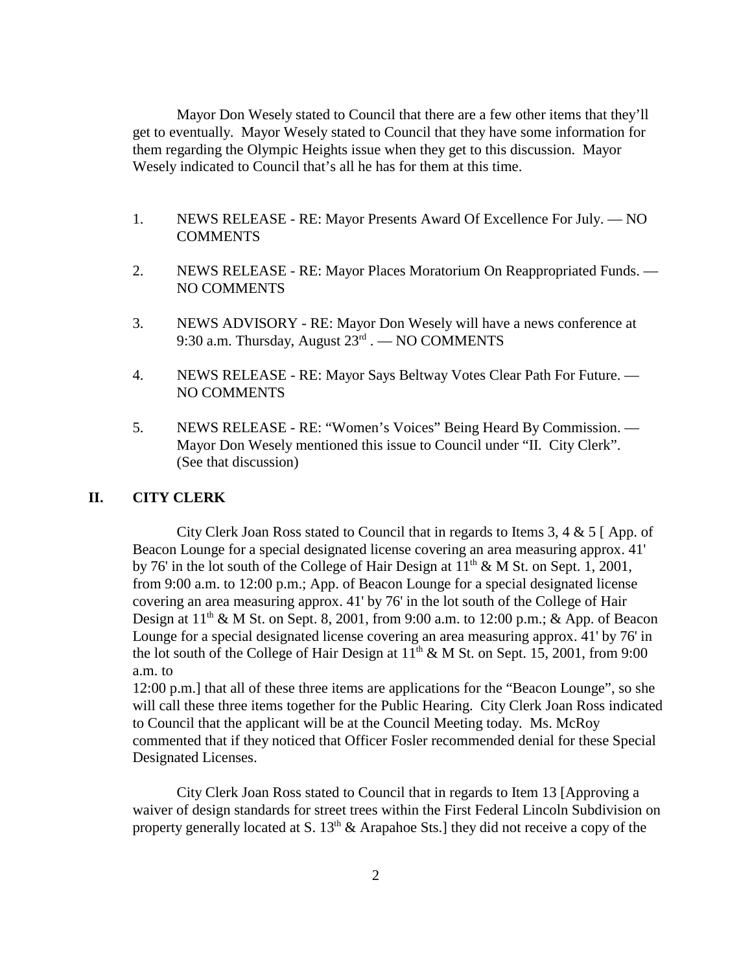Mayor Don Wesely stated to Council that there are a few other items that they'll get to eventually. Mayor Wesely stated to Council that they have some information for them regarding the Olympic Heights issue when they get to this discussion. Mayor Wesely indicated to Council that's all he has for them at this time.

- 1. NEWS RELEASE RE: Mayor Presents Award Of Excellence For July. NO **COMMENTS**
- 2. NEWS RELEASE RE: Mayor Places Moratorium On Reappropriated Funds. NO COMMENTS
- 3. NEWS ADVISORY RE: Mayor Don Wesely will have a news conference at 9:30 a.m. Thursday, August  $23<sup>rd</sup>$ . — NO COMMENTS
- 4. NEWS RELEASE RE: Mayor Says Beltway Votes Clear Path For Future. NO COMMENTS
- 5. NEWS RELEASE RE: "Women's Voices" Being Heard By Commission. Mayor Don Wesely mentioned this issue to Council under "II. City Clerk". (See that discussion)

#### **II. CITY CLERK**

City Clerk Joan Ross stated to Council that in regards to Items 3, 4 & 5 [ App. of Beacon Lounge for a special designated license covering an area measuring approx. 41' by 76' in the lot south of the College of Hair Design at  $11<sup>th</sup>$  & M St. on Sept. 1, 2001, from 9:00 a.m. to 12:00 p.m.; App. of Beacon Lounge for a special designated license covering an area measuring approx. 41' by 76' in the lot south of the College of Hair Design at  $11<sup>th</sup>$  & M St. on Sept. 8, 2001, from 9:00 a.m. to 12:00 p.m.; & App. of Beacon Lounge for a special designated license covering an area measuring approx. 41' by 76' in the lot south of the College of Hair Design at  $11<sup>th</sup>$  & M St. on Sept. 15, 2001, from 9:00 a.m. to

12:00 p.m.] that all of these three items are applications for the "Beacon Lounge", so she will call these three items together for the Public Hearing. City Clerk Joan Ross indicated to Council that the applicant will be at the Council Meeting today. Ms. McRoy commented that if they noticed that Officer Fosler recommended denial for these Special Designated Licenses.

City Clerk Joan Ross stated to Council that in regards to Item 13 [Approving a waiver of design standards for street trees within the First Federal Lincoln Subdivision on property generally located at S.  $13<sup>th</sup>$  & Arapahoe Sts.] they did not receive a copy of the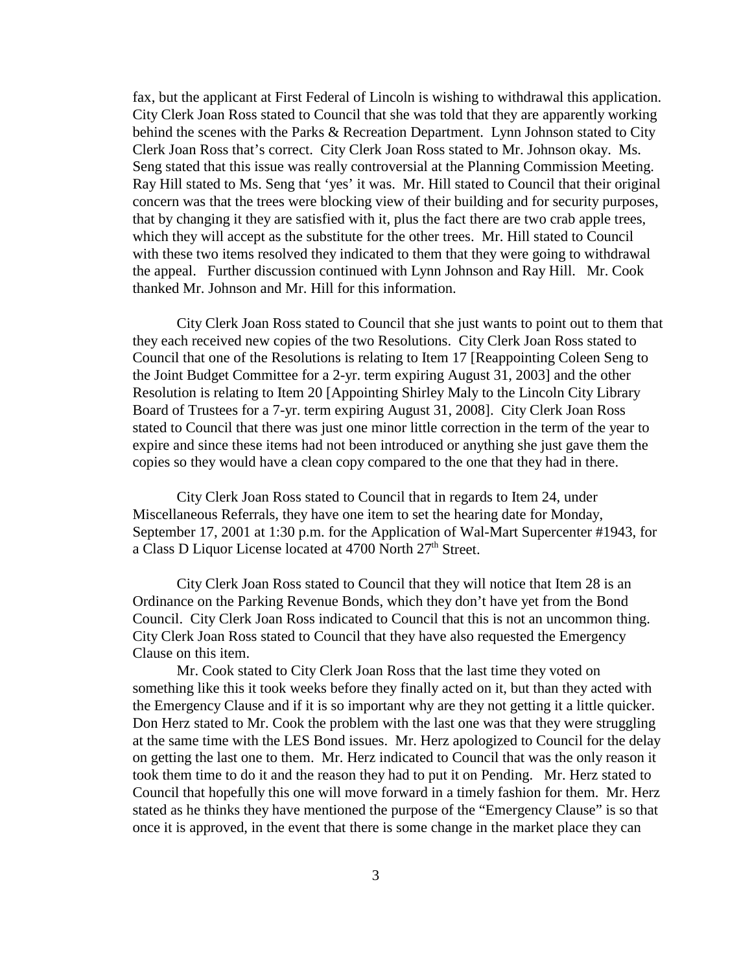fax, but the applicant at First Federal of Lincoln is wishing to withdrawal this application. City Clerk Joan Ross stated to Council that she was told that they are apparently working behind the scenes with the Parks & Recreation Department. Lynn Johnson stated to City Clerk Joan Ross that's correct. City Clerk Joan Ross stated to Mr. Johnson okay. Ms. Seng stated that this issue was really controversial at the Planning Commission Meeting. Ray Hill stated to Ms. Seng that 'yes' it was. Mr. Hill stated to Council that their original concern was that the trees were blocking view of their building and for security purposes, that by changing it they are satisfied with it, plus the fact there are two crab apple trees, which they will accept as the substitute for the other trees. Mr. Hill stated to Council with these two items resolved they indicated to them that they were going to withdrawal the appeal. Further discussion continued with Lynn Johnson and Ray Hill. Mr. Cook thanked Mr. Johnson and Mr. Hill for this information.

City Clerk Joan Ross stated to Council that she just wants to point out to them that they each received new copies of the two Resolutions. City Clerk Joan Ross stated to Council that one of the Resolutions is relating to Item 17 [Reappointing Coleen Seng to the Joint Budget Committee for a 2-yr. term expiring August 31, 2003] and the other Resolution is relating to Item 20 [Appointing Shirley Maly to the Lincoln City Library Board of Trustees for a 7-yr. term expiring August 31, 2008]. City Clerk Joan Ross stated to Council that there was just one minor little correction in the term of the year to expire and since these items had not been introduced or anything she just gave them the copies so they would have a clean copy compared to the one that they had in there.

City Clerk Joan Ross stated to Council that in regards to Item 24, under Miscellaneous Referrals, they have one item to set the hearing date for Monday, September 17, 2001 at 1:30 p.m. for the Application of Wal-Mart Supercenter #1943, for a Class D Liquor License located at 4700 North 27<sup>th</sup> Street.

City Clerk Joan Ross stated to Council that they will notice that Item 28 is an Ordinance on the Parking Revenue Bonds, which they don't have yet from the Bond Council. City Clerk Joan Ross indicated to Council that this is not an uncommon thing. City Clerk Joan Ross stated to Council that they have also requested the Emergency Clause on this item.

Mr. Cook stated to City Clerk Joan Ross that the last time they voted on something like this it took weeks before they finally acted on it, but than they acted with the Emergency Clause and if it is so important why are they not getting it a little quicker. Don Herz stated to Mr. Cook the problem with the last one was that they were struggling at the same time with the LES Bond issues. Mr. Herz apologized to Council for the delay on getting the last one to them. Mr. Herz indicated to Council that was the only reason it took them time to do it and the reason they had to put it on Pending. Mr. Herz stated to Council that hopefully this one will move forward in a timely fashion for them. Mr. Herz stated as he thinks they have mentioned the purpose of the "Emergency Clause" is so that once it is approved, in the event that there is some change in the market place they can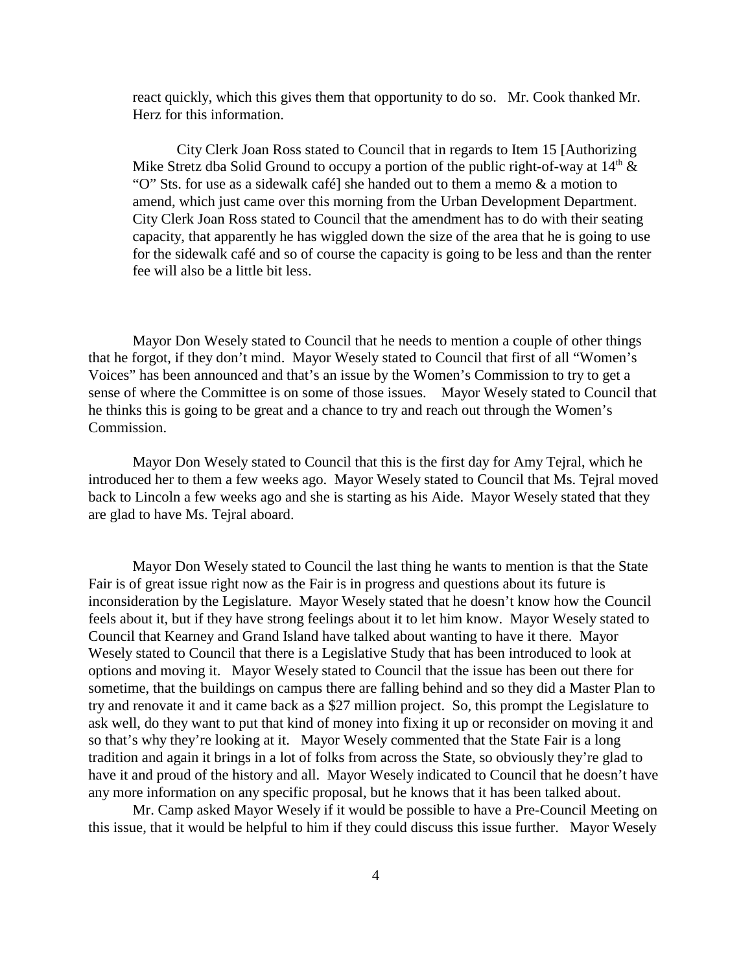react quickly, which this gives them that opportunity to do so. Mr. Cook thanked Mr. Herz for this information.

City Clerk Joan Ross stated to Council that in regards to Item 15 [Authorizing Mike Stretz dba Solid Ground to occupy a portion of the public right-of-way at  $14<sup>th</sup> \&$ "O" Sts. for use as a sidewalk café] she handed out to them a memo & a motion to amend, which just came over this morning from the Urban Development Department. City Clerk Joan Ross stated to Council that the amendment has to do with their seating capacity, that apparently he has wiggled down the size of the area that he is going to use for the sidewalk café and so of course the capacity is going to be less and than the renter fee will also be a little bit less.

Mayor Don Wesely stated to Council that he needs to mention a couple of other things that he forgot, if they don't mind. Mayor Wesely stated to Council that first of all "Women's Voices" has been announced and that's an issue by the Women's Commission to try to get a sense of where the Committee is on some of those issues. Mayor Wesely stated to Council that he thinks this is going to be great and a chance to try and reach out through the Women's Commission.

Mayor Don Wesely stated to Council that this is the first day for Amy Tejral, which he introduced her to them a few weeks ago. Mayor Wesely stated to Council that Ms. Tejral moved back to Lincoln a few weeks ago and she is starting as his Aide. Mayor Wesely stated that they are glad to have Ms. Tejral aboard.

Mayor Don Wesely stated to Council the last thing he wants to mention is that the State Fair is of great issue right now as the Fair is in progress and questions about its future is inconsideration by the Legislature. Mayor Wesely stated that he doesn't know how the Council feels about it, but if they have strong feelings about it to let him know. Mayor Wesely stated to Council that Kearney and Grand Island have talked about wanting to have it there. Mayor Wesely stated to Council that there is a Legislative Study that has been introduced to look at options and moving it. Mayor Wesely stated to Council that the issue has been out there for sometime, that the buildings on campus there are falling behind and so they did a Master Plan to try and renovate it and it came back as a \$27 million project. So, this prompt the Legislature to ask well, do they want to put that kind of money into fixing it up or reconsider on moving it and so that's why they're looking at it. Mayor Wesely commented that the State Fair is a long tradition and again it brings in a lot of folks from across the State, so obviously they're glad to have it and proud of the history and all. Mayor Wesely indicated to Council that he doesn't have any more information on any specific proposal, but he knows that it has been talked about.

Mr. Camp asked Mayor Wesely if it would be possible to have a Pre-Council Meeting on this issue, that it would be helpful to him if they could discuss this issue further. Mayor Wesely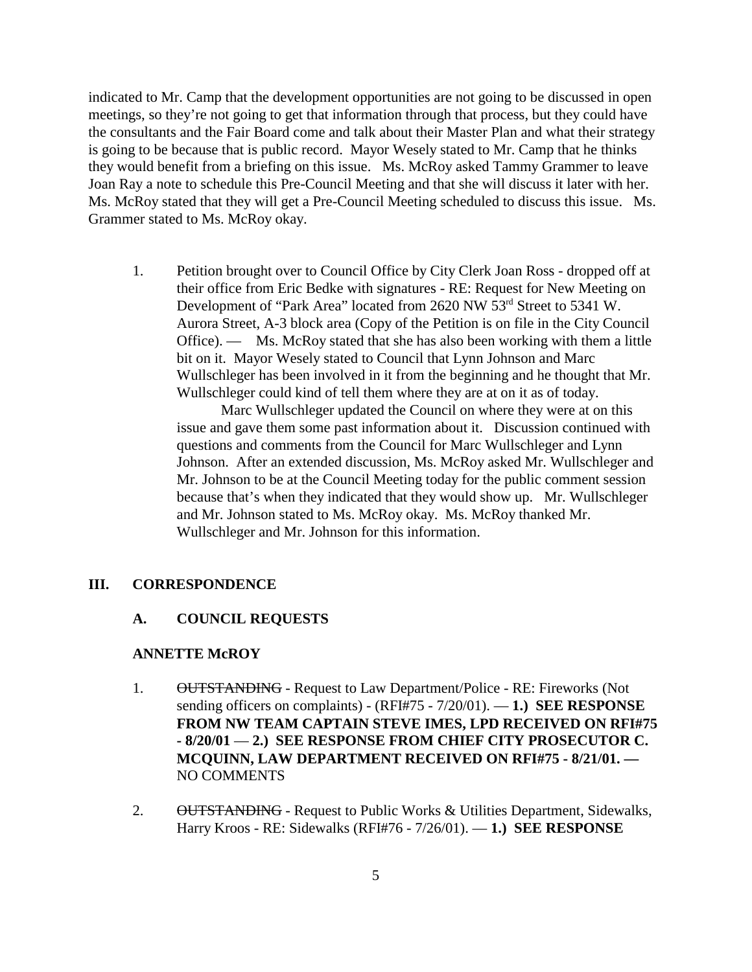indicated to Mr. Camp that the development opportunities are not going to be discussed in open meetings, so they're not going to get that information through that process, but they could have the consultants and the Fair Board come and talk about their Master Plan and what their strategy is going to be because that is public record. Mayor Wesely stated to Mr. Camp that he thinks they would benefit from a briefing on this issue. Ms. McRoy asked Tammy Grammer to leave Joan Ray a note to schedule this Pre-Council Meeting and that she will discuss it later with her. Ms. McRoy stated that they will get a Pre-Council Meeting scheduled to discuss this issue. Ms. Grammer stated to Ms. McRoy okay.

1. Petition brought over to Council Office by City Clerk Joan Ross - dropped off at their office from Eric Bedke with signatures - RE: Request for New Meeting on Development of "Park Area" located from 2620 NW 53<sup>rd</sup> Street to 5341 W. Aurora Street, A-3 block area (Copy of the Petition is on file in the City Council Office). — Ms. McRoy stated that she has also been working with them a little bit on it. Mayor Wesely stated to Council that Lynn Johnson and Marc Wullschleger has been involved in it from the beginning and he thought that Mr. Wullschleger could kind of tell them where they are at on it as of today.

Marc Wullschleger updated the Council on where they were at on this issue and gave them some past information about it. Discussion continued with questions and comments from the Council for Marc Wullschleger and Lynn Johnson. After an extended discussion, Ms. McRoy asked Mr. Wullschleger and Mr. Johnson to be at the Council Meeting today for the public comment session because that's when they indicated that they would show up. Mr. Wullschleger and Mr. Johnson stated to Ms. McRoy okay. Ms. McRoy thanked Mr. Wullschleger and Mr. Johnson for this information.

## **III. CORRESPONDENCE**

#### **A. COUNCIL REQUESTS**

## **ANNETTE McROY**

- 1. OUTSTANDING Request to Law Department/Police RE: Fireworks (Not sending officers on complaints) - (RFI#75 - 7/20/01). — **1.) SEE RESPONSE FROM NW TEAM CAPTAIN STEVE IMES, LPD RECEIVED ON RFI#75 - 8/20/01** — **2.) SEE RESPONSE FROM CHIEF CITY PROSECUTOR C. MCQUINN, LAW DEPARTMENT RECEIVED ON RFI#75 - 8/21/01. —** NO COMMENTS
- 2. OUTSTANDING Request to Public Works & Utilities Department, Sidewalks, Harry Kroos - RE: Sidewalks (RFI#76 - 7/26/01). — **1.) SEE RESPONSE**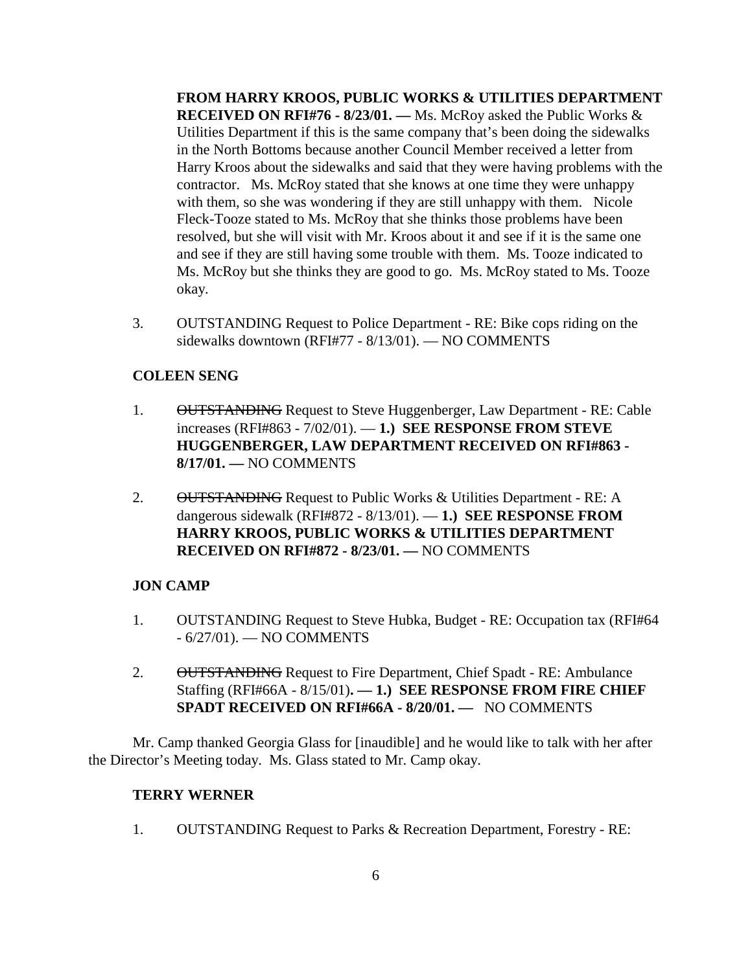**FROM HARRY KROOS, PUBLIC WORKS & UTILITIES DEPARTMENT RECEIVED ON RFI#76 - 8/23/01. —** Ms. McRoy asked the Public Works & Utilities Department if this is the same company that's been doing the sidewalks in the North Bottoms because another Council Member received a letter from Harry Kroos about the sidewalks and said that they were having problems with the contractor. Ms. McRoy stated that she knows at one time they were unhappy with them, so she was wondering if they are still unhappy with them. Nicole Fleck-Tooze stated to Ms. McRoy that she thinks those problems have been resolved, but she will visit with Mr. Kroos about it and see if it is the same one and see if they are still having some trouble with them. Ms. Tooze indicated to Ms. McRoy but she thinks they are good to go. Ms. McRoy stated to Ms. Tooze okay.

3. OUTSTANDING Request to Police Department - RE: Bike cops riding on the sidewalks downtown (RFI#77 - 8/13/01). — NO COMMENTS

## **COLEEN SENG**

- 1. OUTSTANDING Request to Steve Huggenberger, Law Department RE: Cable increases (RFI#863 - 7/02/01). — **1.) SEE RESPONSE FROM STEVE HUGGENBERGER, LAW DEPARTMENT RECEIVED ON RFI#863 - 8/17/01. —** NO COMMENTS
- 2. OUTSTANDING Request to Public Works & Utilities Department RE: A dangerous sidewalk (RFI#872 - 8/13/01). — **1.) SEE RESPONSE FROM HARRY KROOS, PUBLIC WORKS & UTILITIES DEPARTMENT RECEIVED ON RFI#872 - 8/23/01. —** NO COMMENTS

# **JON CAMP**

- 1. OUTSTANDING Request to Steve Hubka, Budget RE: Occupation tax (RFI#64 - 6/27/01). — NO COMMENTS
- 2. OUTSTANDING Request to Fire Department, Chief Spadt RE: Ambulance Staffing (RFI#66A - 8/15/01)**. — 1.) SEE RESPONSE FROM FIRE CHIEF SPADT RECEIVED ON RFI#66A - 8/20/01. —** NO COMMENTS

Mr. Camp thanked Georgia Glass for [inaudible] and he would like to talk with her after the Director's Meeting today. Ms. Glass stated to Mr. Camp okay.

## **TERRY WERNER**

1. OUTSTANDING Request to Parks & Recreation Department, Forestry - RE: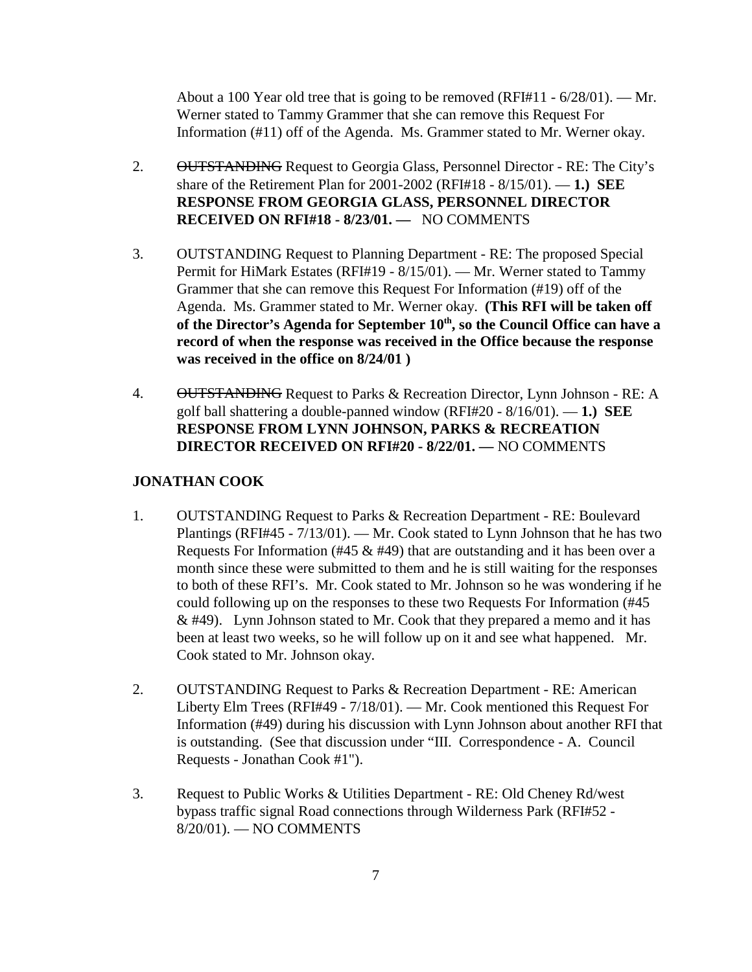About a 100 Year old tree that is going to be removed (RFI#11 - 6/28/01). — Mr. Werner stated to Tammy Grammer that she can remove this Request For Information (#11) off of the Agenda. Ms. Grammer stated to Mr. Werner okay.

- 2. OUTSTANDING Request to Georgia Glass, Personnel Director RE: The City's share of the Retirement Plan for 2001-2002 (RFI#18 - 8/15/01). — **1.) SEE RESPONSE FROM GEORGIA GLASS, PERSONNEL DIRECTOR RECEIVED ON RFI#18 - 8/23/01. —** NO COMMENTS
- 3. OUTSTANDING Request to Planning Department RE: The proposed Special Permit for HiMark Estates (RFI#19 - 8/15/01). — Mr. Werner stated to Tammy Grammer that she can remove this Request For Information (#19) off of the Agenda. Ms. Grammer stated to Mr. Werner okay. **(This RFI will be taken off** of the Director's Agenda for September 10<sup>th</sup>, so the Council Office can have a **record of when the response was received in the Office because the response was received in the office on 8/24/01 )**
- 4. OUTSTANDING Request to Parks & Recreation Director, Lynn Johnson RE: A golf ball shattering a double-panned window (RFI#20 - 8/16/01). — **1.) SEE RESPONSE FROM LYNN JOHNSON, PARKS & RECREATION DIRECTOR RECEIVED ON RFI#20 - 8/22/01. —** NO COMMENTS

## **JONATHAN COOK**

- 1. OUTSTANDING Request to Parks & Recreation Department RE: Boulevard Plantings (RFI#45 - 7/13/01). — Mr. Cook stated to Lynn Johnson that he has two Requests For Information (#45  $\&$  #49) that are outstanding and it has been over a month since these were submitted to them and he is still waiting for the responses to both of these RFI's. Mr. Cook stated to Mr. Johnson so he was wondering if he could following up on the responses to these two Requests For Information (#45  $&$  #49). Lynn Johnson stated to Mr. Cook that they prepared a memo and it has been at least two weeks, so he will follow up on it and see what happened. Mr. Cook stated to Mr. Johnson okay.
- 2. OUTSTANDING Request to Parks & Recreation Department RE: American Liberty Elm Trees (RFI#49 - 7/18/01). — Mr. Cook mentioned this Request For Information (#49) during his discussion with Lynn Johnson about another RFI that is outstanding. (See that discussion under "III. Correspondence - A. Council Requests - Jonathan Cook #1").
- 3. Request to Public Works & Utilities Department RE: Old Cheney Rd/west bypass traffic signal Road connections through Wilderness Park (RFI#52 - 8/20/01). — NO COMMENTS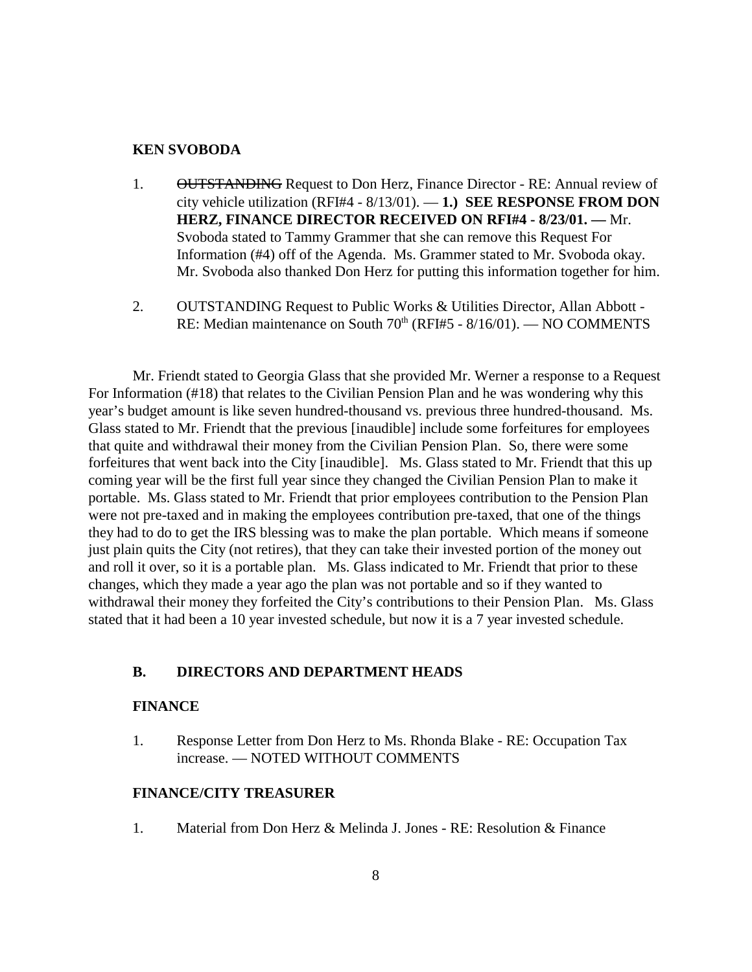#### **KEN SVOBODA**

- 1. **OUTSTANDING** Request to Don Herz, Finance Director RE: Annual review of city vehicle utilization (RFI#4 - 8/13/01). — **1.) SEE RESPONSE FROM DON HERZ, FINANCE DIRECTOR RECEIVED ON RFI#4 - 8/23/01. —** Mr. Svoboda stated to Tammy Grammer that she can remove this Request For Information (#4) off of the Agenda. Ms. Grammer stated to Mr. Svoboda okay. Mr. Svoboda also thanked Don Herz for putting this information together for him.
- 2. OUTSTANDING Request to Public Works & Utilities Director, Allan Abbott RE: Median maintenance on South 70<sup>th</sup> (RFI#5 - 8/16/01). — NO COMMENTS

Mr. Friendt stated to Georgia Glass that she provided Mr. Werner a response to a Request For Information (#18) that relates to the Civilian Pension Plan and he was wondering why this year's budget amount is like seven hundred-thousand vs. previous three hundred-thousand. Ms. Glass stated to Mr. Friendt that the previous [inaudible] include some forfeitures for employees that quite and withdrawal their money from the Civilian Pension Plan. So, there were some forfeitures that went back into the City [inaudible]. Ms. Glass stated to Mr. Friendt that this up coming year will be the first full year since they changed the Civilian Pension Plan to make it portable. Ms. Glass stated to Mr. Friendt that prior employees contribution to the Pension Plan were not pre-taxed and in making the employees contribution pre-taxed, that one of the things they had to do to get the IRS blessing was to make the plan portable. Which means if someone just plain quits the City (not retires), that they can take their invested portion of the money out and roll it over, so it is a portable plan. Ms. Glass indicated to Mr. Friendt that prior to these changes, which they made a year ago the plan was not portable and so if they wanted to withdrawal their money they forfeited the City's contributions to their Pension Plan. Ms. Glass stated that it had been a 10 year invested schedule, but now it is a 7 year invested schedule.

## **B. DIRECTORS AND DEPARTMENT HEADS**

## **FINANCE**

1. Response Letter from Don Herz to Ms. Rhonda Blake - RE: Occupation Tax increase. — NOTED WITHOUT COMMENTS

## **FINANCE/CITY TREASURER**

1. Material from Don Herz & Melinda J. Jones - RE: Resolution & Finance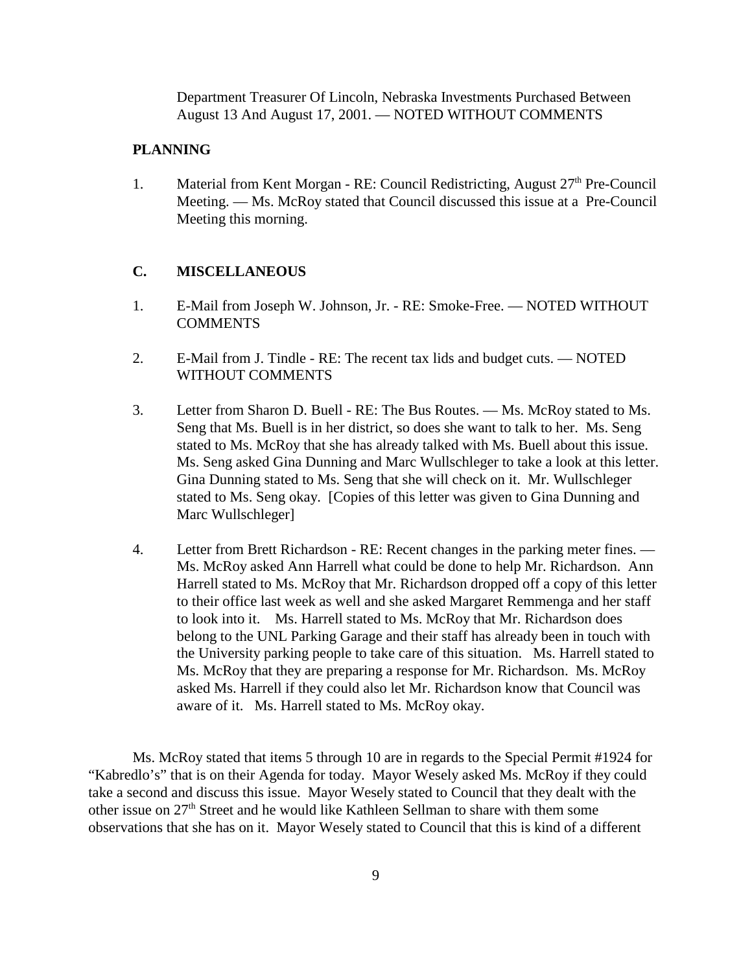Department Treasurer Of Lincoln, Nebraska Investments Purchased Between August 13 And August 17, 2001. — NOTED WITHOUT COMMENTS

## **PLANNING**

1. Material from Kent Morgan - RE: Council Redistricting, August  $27<sup>th</sup>$  Pre-Council Meeting. — Ms. McRoy stated that Council discussed this issue at a Pre-Council Meeting this morning.

## **C. MISCELLANEOUS**

- 1. E-Mail from Joseph W. Johnson, Jr. RE: Smoke-Free. NOTED WITHOUT COMMENTS
- 2. E-Mail from J. Tindle RE: The recent tax lids and budget cuts. NOTED WITHOUT COMMENTS
- 3. Letter from Sharon D. Buell RE: The Bus Routes. Ms. McRoy stated to Ms. Seng that Ms. Buell is in her district, so does she want to talk to her. Ms. Seng stated to Ms. McRoy that she has already talked with Ms. Buell about this issue. Ms. Seng asked Gina Dunning and Marc Wullschleger to take a look at this letter. Gina Dunning stated to Ms. Seng that she will check on it. Mr. Wullschleger stated to Ms. Seng okay. [Copies of this letter was given to Gina Dunning and Marc Wullschleger]
- 4. Letter from Brett Richardson RE: Recent changes in the parking meter fines. Ms. McRoy asked Ann Harrell what could be done to help Mr. Richardson. Ann Harrell stated to Ms. McRoy that Mr. Richardson dropped off a copy of this letter to their office last week as well and she asked Margaret Remmenga and her staff to look into it. Ms. Harrell stated to Ms. McRoy that Mr. Richardson does belong to the UNL Parking Garage and their staff has already been in touch with the University parking people to take care of this situation. Ms. Harrell stated to Ms. McRoy that they are preparing a response for Mr. Richardson. Ms. McRoy asked Ms. Harrell if they could also let Mr. Richardson know that Council was aware of it. Ms. Harrell stated to Ms. McRoy okay.

Ms. McRoy stated that items 5 through 10 are in regards to the Special Permit #1924 for "Kabredlo's" that is on their Agenda for today. Mayor Wesely asked Ms. McRoy if they could take a second and discuss this issue. Mayor Wesely stated to Council that they dealt with the other issue on 27<sup>th</sup> Street and he would like Kathleen Sellman to share with them some observations that she has on it. Mayor Wesely stated to Council that this is kind of a different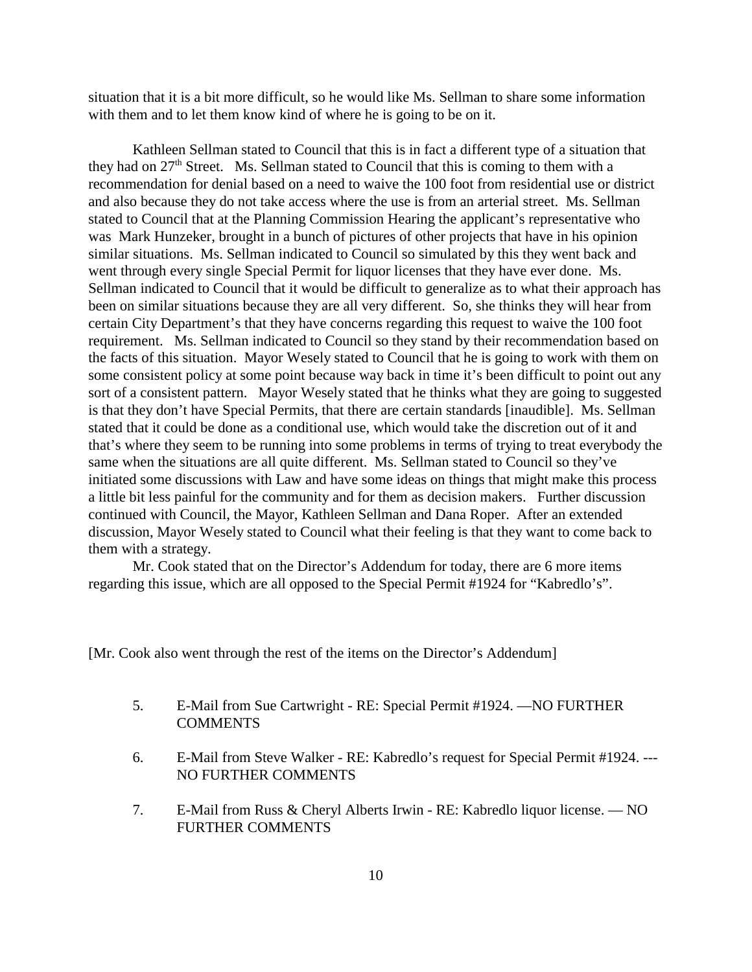situation that it is a bit more difficult, so he would like Ms. Sellman to share some information with them and to let them know kind of where he is going to be on it.

Kathleen Sellman stated to Council that this is in fact a different type of a situation that they had on  $27<sup>th</sup>$  Street. Ms. Sellman stated to Council that this is coming to them with a recommendation for denial based on a need to waive the 100 foot from residential use or district and also because they do not take access where the use is from an arterial street. Ms. Sellman stated to Council that at the Planning Commission Hearing the applicant's representative who was Mark Hunzeker, brought in a bunch of pictures of other projects that have in his opinion similar situations. Ms. Sellman indicated to Council so simulated by this they went back and went through every single Special Permit for liquor licenses that they have ever done. Ms. Sellman indicated to Council that it would be difficult to generalize as to what their approach has been on similar situations because they are all very different. So, she thinks they will hear from certain City Department's that they have concerns regarding this request to waive the 100 foot requirement. Ms. Sellman indicated to Council so they stand by their recommendation based on the facts of this situation. Mayor Wesely stated to Council that he is going to work with them on some consistent policy at some point because way back in time it's been difficult to point out any sort of a consistent pattern. Mayor Wesely stated that he thinks what they are going to suggested is that they don't have Special Permits, that there are certain standards [inaudible]. Ms. Sellman stated that it could be done as a conditional use, which would take the discretion out of it and that's where they seem to be running into some problems in terms of trying to treat everybody the same when the situations are all quite different. Ms. Sellman stated to Council so they've initiated some discussions with Law and have some ideas on things that might make this process a little bit less painful for the community and for them as decision makers. Further discussion continued with Council, the Mayor, Kathleen Sellman and Dana Roper. After an extended discussion, Mayor Wesely stated to Council what their feeling is that they want to come back to them with a strategy.

Mr. Cook stated that on the Director's Addendum for today, there are 6 more items regarding this issue, which are all opposed to the Special Permit #1924 for "Kabredlo's".

[Mr. Cook also went through the rest of the items on the Director's Addendum]

- 5. E-Mail from Sue Cartwright RE: Special Permit #1924. —NO FURTHER **COMMENTS**
- 6. E-Mail from Steve Walker RE: Kabredlo's request for Special Permit #1924. --- NO FURTHER COMMENTS
- 7. E-Mail from Russ & Cheryl Alberts Irwin RE: Kabredlo liquor license. NO FURTHER COMMENTS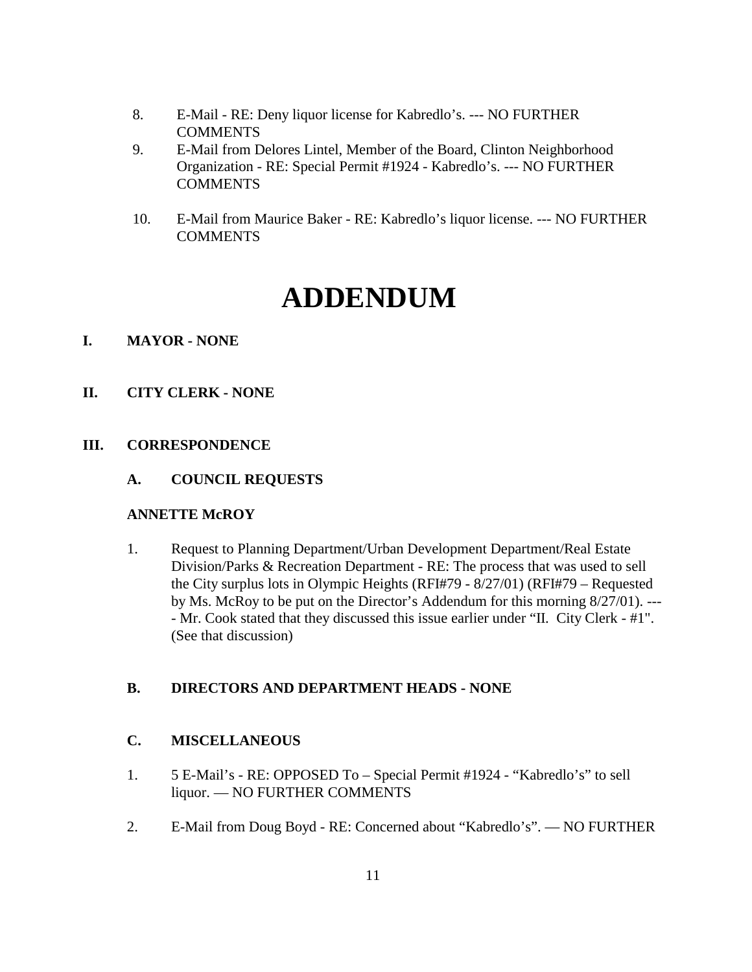- 8. E-Mail RE: Deny liquor license for Kabredlo's. --- NO FURTHER **COMMENTS**
- 9. E-Mail from Delores Lintel, Member of the Board, Clinton Neighborhood Organization - RE: Special Permit #1924 - Kabredlo's. --- NO FURTHER **COMMENTS**
- 10. E-Mail from Maurice Baker RE: Kabredlo's liquor license. --- NO FURTHER **COMMENTS**

# **ADDENDUM**

## **I. MAYOR - NONE**

**II. CITY CLERK - NONE**

## **III. CORRESPONDENCE**

**A. COUNCIL REQUESTS**

## **ANNETTE McROY**

1. Request to Planning Department/Urban Development Department/Real Estate Division/Parks & Recreation Department - RE: The process that was used to sell the City surplus lots in Olympic Heights (RFI#79 - 8/27/01) (RFI#79 – Requested by Ms. McRoy to be put on the Director's Addendum for this morning 8/27/01). --- - Mr. Cook stated that they discussed this issue earlier under "II. City Clerk - #1". (See that discussion)

# **B. DIRECTORS AND DEPARTMENT HEADS - NONE**

## **C. MISCELLANEOUS**

- 1. 5 E-Mail's RE: OPPOSED To Special Permit #1924 "Kabredlo's" to sell liquor. — NO FURTHER COMMENTS
- 2. E-Mail from Doug Boyd RE: Concerned about "Kabredlo's". NO FURTHER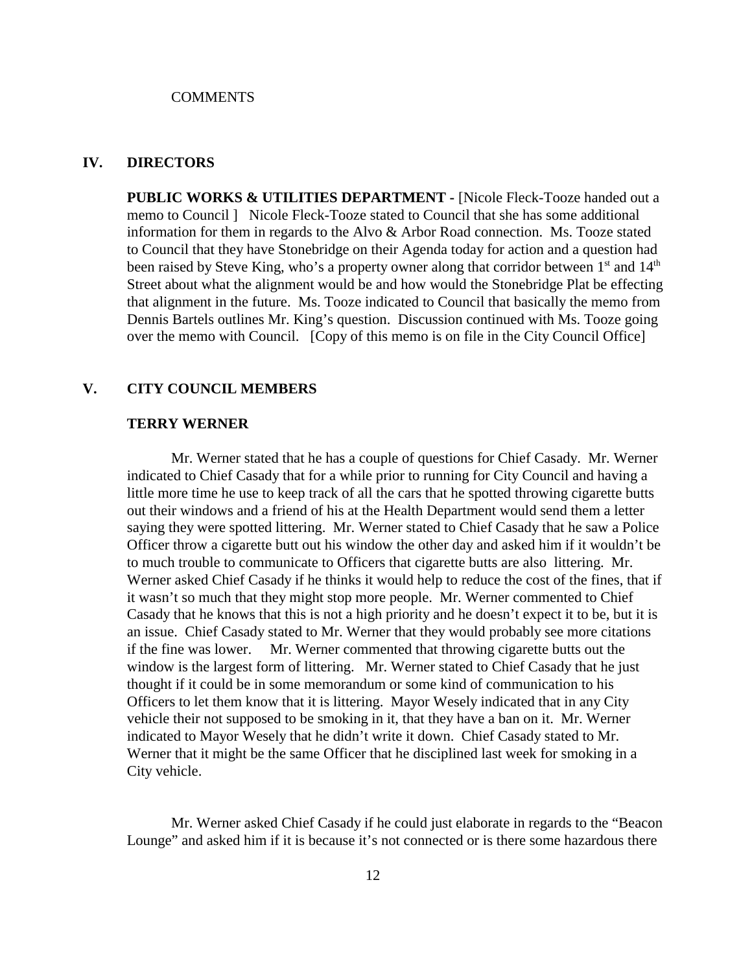#### **COMMENTS**

## **IV. DIRECTORS**

**PUBLIC WORKS & UTILITIES DEPARTMENT -** [Nicole Fleck-Tooze handed out a memo to Council ] Nicole Fleck-Tooze stated to Council that she has some additional information for them in regards to the Alvo & Arbor Road connection. Ms. Tooze stated to Council that they have Stonebridge on their Agenda today for action and a question had been raised by Steve King, who's a property owner along that corridor between  $1<sup>st</sup>$  and  $14<sup>th</sup>$ Street about what the alignment would be and how would the Stonebridge Plat be effecting that alignment in the future. Ms. Tooze indicated to Council that basically the memo from Dennis Bartels outlines Mr. King's question. Discussion continued with Ms. Tooze going over the memo with Council. [Copy of this memo is on file in the City Council Office]

#### **V. CITY COUNCIL MEMBERS**

#### **TERRY WERNER**

Mr. Werner stated that he has a couple of questions for Chief Casady. Mr. Werner indicated to Chief Casady that for a while prior to running for City Council and having a little more time he use to keep track of all the cars that he spotted throwing cigarette butts out their windows and a friend of his at the Health Department would send them a letter saying they were spotted littering. Mr. Werner stated to Chief Casady that he saw a Police Officer throw a cigarette butt out his window the other day and asked him if it wouldn't be to much trouble to communicate to Officers that cigarette butts are also littering. Mr. Werner asked Chief Casady if he thinks it would help to reduce the cost of the fines, that if it wasn't so much that they might stop more people. Mr. Werner commented to Chief Casady that he knows that this is not a high priority and he doesn't expect it to be, but it is an issue. Chief Casady stated to Mr. Werner that they would probably see more citations if the fine was lower. Mr. Werner commented that throwing cigarette butts out the window is the largest form of littering. Mr. Werner stated to Chief Casady that he just thought if it could be in some memorandum or some kind of communication to his Officers to let them know that it is littering. Mayor Wesely indicated that in any City vehicle their not supposed to be smoking in it, that they have a ban on it. Mr. Werner indicated to Mayor Wesely that he didn't write it down. Chief Casady stated to Mr. Werner that it might be the same Officer that he disciplined last week for smoking in a City vehicle.

Mr. Werner asked Chief Casady if he could just elaborate in regards to the "Beacon Lounge" and asked him if it is because it's not connected or is there some hazardous there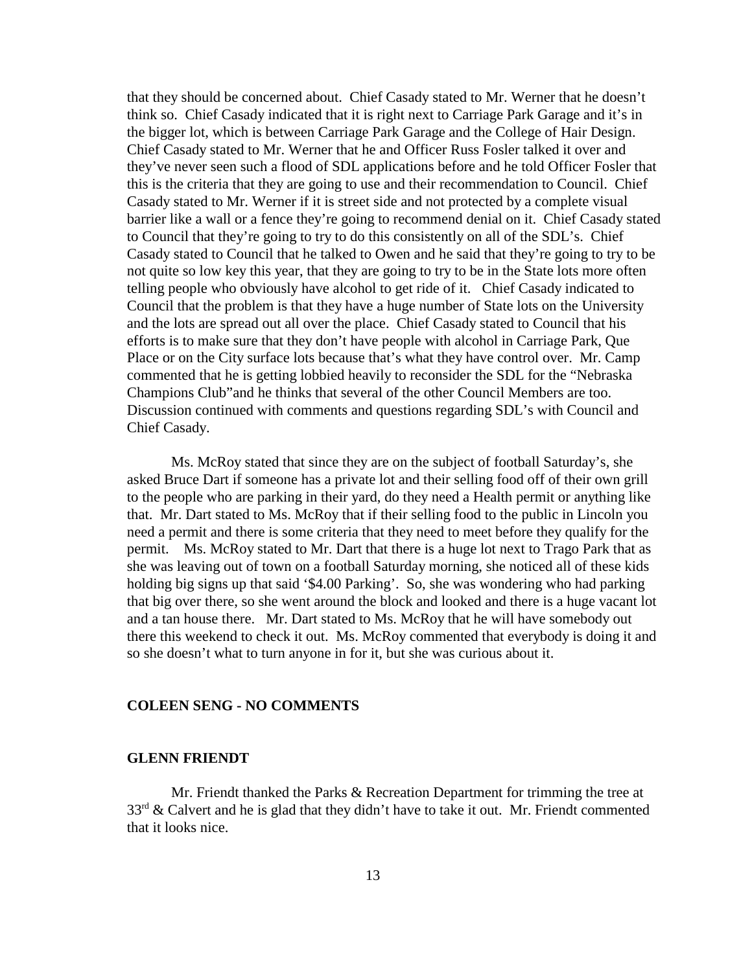that they should be concerned about. Chief Casady stated to Mr. Werner that he doesn't think so. Chief Casady indicated that it is right next to Carriage Park Garage and it's in the bigger lot, which is between Carriage Park Garage and the College of Hair Design. Chief Casady stated to Mr. Werner that he and Officer Russ Fosler talked it over and they've never seen such a flood of SDL applications before and he told Officer Fosler that this is the criteria that they are going to use and their recommendation to Council. Chief Casady stated to Mr. Werner if it is street side and not protected by a complete visual barrier like a wall or a fence they're going to recommend denial on it. Chief Casady stated to Council that they're going to try to do this consistently on all of the SDL's. Chief Casady stated to Council that he talked to Owen and he said that they're going to try to be not quite so low key this year, that they are going to try to be in the State lots more often telling people who obviously have alcohol to get ride of it. Chief Casady indicated to Council that the problem is that they have a huge number of State lots on the University and the lots are spread out all over the place. Chief Casady stated to Council that his efforts is to make sure that they don't have people with alcohol in Carriage Park, Que Place or on the City surface lots because that's what they have control over. Mr. Camp commented that he is getting lobbied heavily to reconsider the SDL for the "Nebraska Champions Club"and he thinks that several of the other Council Members are too. Discussion continued with comments and questions regarding SDL's with Council and Chief Casady.

Ms. McRoy stated that since they are on the subject of football Saturday's, she asked Bruce Dart if someone has a private lot and their selling food off of their own grill to the people who are parking in their yard, do they need a Health permit or anything like that. Mr. Dart stated to Ms. McRoy that if their selling food to the public in Lincoln you need a permit and there is some criteria that they need to meet before they qualify for the permit. Ms. McRoy stated to Mr. Dart that there is a huge lot next to Trago Park that as she was leaving out of town on a football Saturday morning, she noticed all of these kids holding big signs up that said '\$4.00 Parking'. So, she was wondering who had parking that big over there, so she went around the block and looked and there is a huge vacant lot and a tan house there. Mr. Dart stated to Ms. McRoy that he will have somebody out there this weekend to check it out. Ms. McRoy commented that everybody is doing it and so she doesn't what to turn anyone in for it, but she was curious about it.

## **COLEEN SENG - NO COMMENTS**

## **GLENN FRIENDT**

Mr. Friendt thanked the Parks & Recreation Department for trimming the tree at  $33<sup>rd</sup>$  & Calvert and he is glad that they didn't have to take it out. Mr. Friendt commented that it looks nice.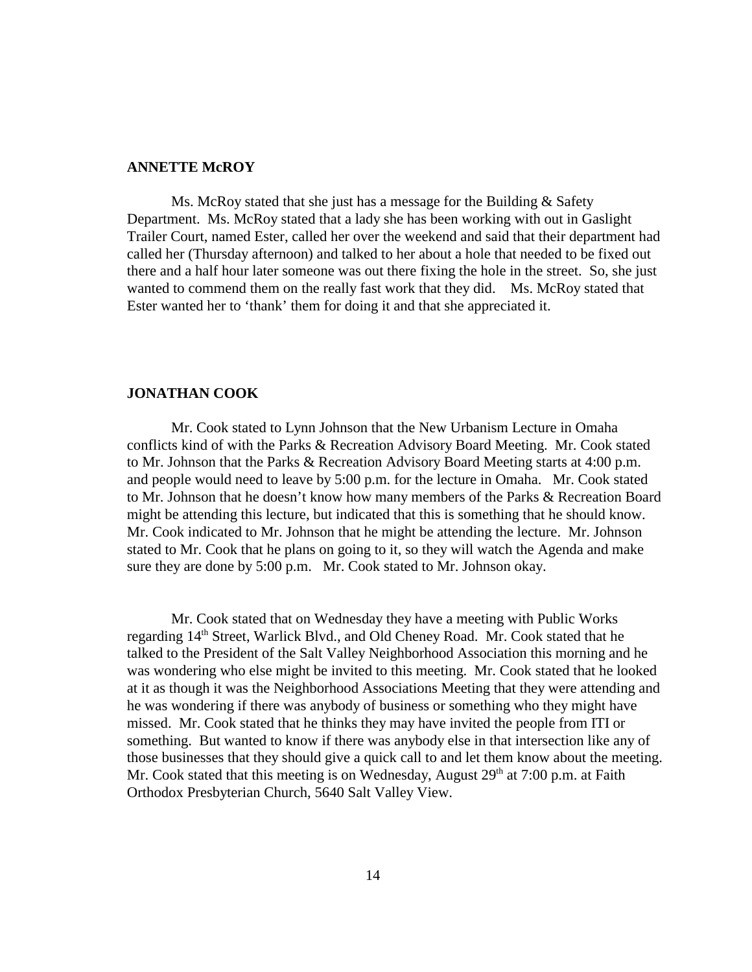#### **ANNETTE McROY**

Ms. McRoy stated that she just has a message for the Building & Safety Department. Ms. McRoy stated that a lady she has been working with out in Gaslight Trailer Court, named Ester, called her over the weekend and said that their department had called her (Thursday afternoon) and talked to her about a hole that needed to be fixed out there and a half hour later someone was out there fixing the hole in the street. So, she just wanted to commend them on the really fast work that they did. Ms. McRoy stated that Ester wanted her to 'thank' them for doing it and that she appreciated it.

## **JONATHAN COOK**

Mr. Cook stated to Lynn Johnson that the New Urbanism Lecture in Omaha conflicts kind of with the Parks & Recreation Advisory Board Meeting. Mr. Cook stated to Mr. Johnson that the Parks & Recreation Advisory Board Meeting starts at 4:00 p.m. and people would need to leave by 5:00 p.m. for the lecture in Omaha. Mr. Cook stated to Mr. Johnson that he doesn't know how many members of the Parks & Recreation Board might be attending this lecture, but indicated that this is something that he should know. Mr. Cook indicated to Mr. Johnson that he might be attending the lecture. Mr. Johnson stated to Mr. Cook that he plans on going to it, so they will watch the Agenda and make sure they are done by 5:00 p.m. Mr. Cook stated to Mr. Johnson okay.

Mr. Cook stated that on Wednesday they have a meeting with Public Works regarding 14<sup>th</sup> Street, Warlick Blvd., and Old Cheney Road. Mr. Cook stated that he talked to the President of the Salt Valley Neighborhood Association this morning and he was wondering who else might be invited to this meeting. Mr. Cook stated that he looked at it as though it was the Neighborhood Associations Meeting that they were attending and he was wondering if there was anybody of business or something who they might have missed. Mr. Cook stated that he thinks they may have invited the people from ITI or something. But wanted to know if there was anybody else in that intersection like any of those businesses that they should give a quick call to and let them know about the meeting. Mr. Cook stated that this meeting is on Wednesday, August  $29<sup>th</sup>$  at 7:00 p.m. at Faith Orthodox Presbyterian Church, 5640 Salt Valley View.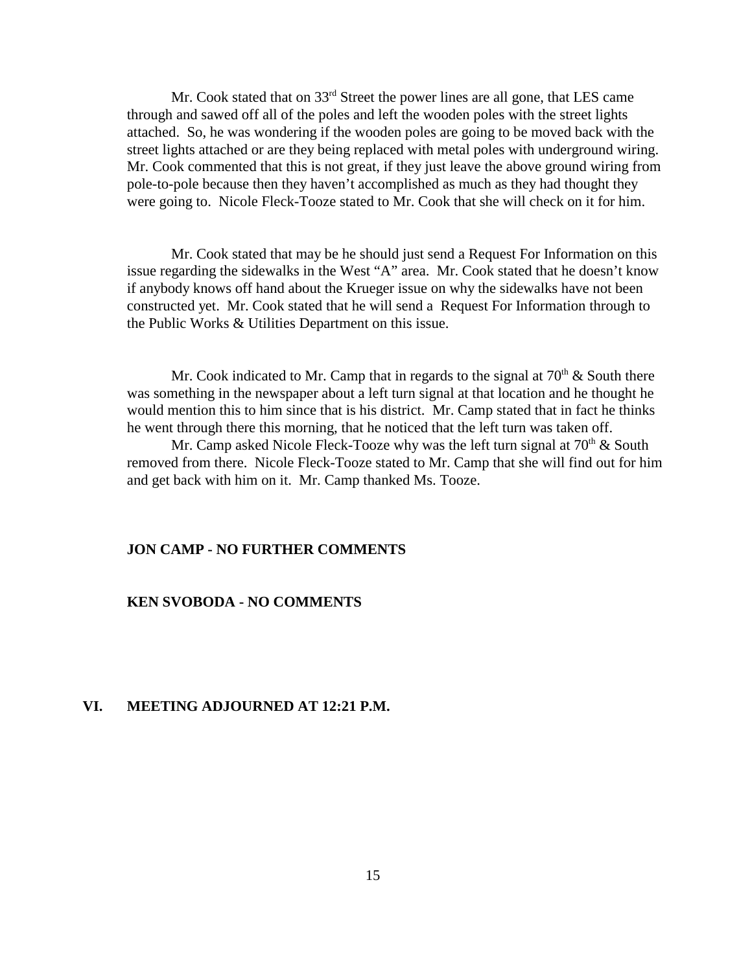Mr. Cook stated that on 33<sup>rd</sup> Street the power lines are all gone, that LES came through and sawed off all of the poles and left the wooden poles with the street lights attached. So, he was wondering if the wooden poles are going to be moved back with the street lights attached or are they being replaced with metal poles with underground wiring. Mr. Cook commented that this is not great, if they just leave the above ground wiring from pole-to-pole because then they haven't accomplished as much as they had thought they were going to. Nicole Fleck-Tooze stated to Mr. Cook that she will check on it for him.

Mr. Cook stated that may be he should just send a Request For Information on this issue regarding the sidewalks in the West "A" area. Mr. Cook stated that he doesn't know if anybody knows off hand about the Krueger issue on why the sidewalks have not been constructed yet. Mr. Cook stated that he will send a Request For Information through to the Public Works & Utilities Department on this issue.

Mr. Cook indicated to Mr. Camp that in regards to the signal at  $70<sup>th</sup>$  & South there was something in the newspaper about a left turn signal at that location and he thought he would mention this to him since that is his district. Mr. Camp stated that in fact he thinks he went through there this morning, that he noticed that the left turn was taken off.

Mr. Camp asked Nicole Fleck-Tooze why was the left turn signal at  $70<sup>th</sup>$  & South removed from there. Nicole Fleck-Tooze stated to Mr. Camp that she will find out for him and get back with him on it. Mr. Camp thanked Ms. Tooze.

## **JON CAMP - NO FURTHER COMMENTS**

## **KEN SVOBODA - NO COMMENTS**

## **VI. MEETING ADJOURNED AT 12:21 P.M.**